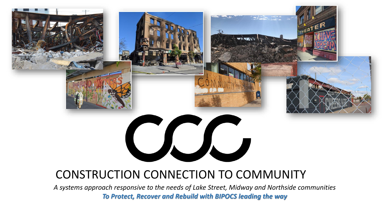## CONSTRUCTION CONNECTION TO COMMUNITY

*A systems approach responsive to the needs of Lake Street, Midway and Northside communities To Protect, Recover and Rebuild with BIPOCS leading the way*

VJJ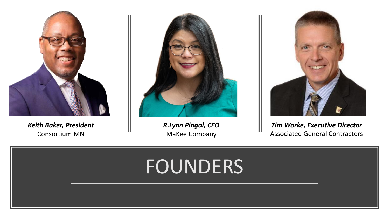

*Keith Baker, President* Consortium MN



*R.Lynn Pingol, CEO* MaKee Company



*Tim Worke, Executive Director* Associated General Contractors

# **FOUNDERS**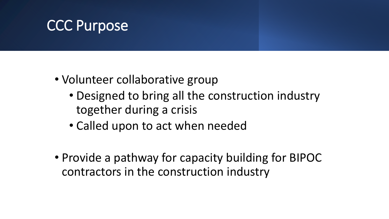# CCC Purpose

- Volunteer collaborative group
	- Designed to bring all the construction industry together during a crisis
	- Called upon to act when needed
- Provide a pathway for capacity building for BIPOC contractors in the construction industry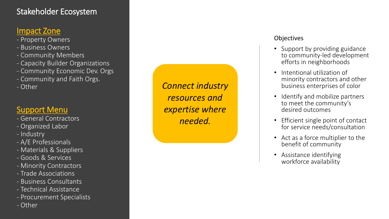### Stakeholder Ecosystem

### Impact Zone

- Property Owners
- Business Owners
- Community Members
- Capacity Builder Organizations
- Community Economic Dev. Orgs
- Community and Faith Orgs.
- Other

### Support Menu

- General Contractors
- Organized Labor
- Industry
- A/E Professionals
- Materials & Suppliers
- Goods & Services
- Minority Contractors
- Trade Associations
- Business Consultants
- Technical Assistance
- Procurement Specialists
- Other

*Connect industry resources and expertise where needed.* 

#### **Objectives**

- Support by providing guidance to community -led development efforts in neighborhoods
- Intentional utilization of minority contractors and other business enterprises of color
- Identify and mobilize partners to meet the community's desired outcomes
- Efficient single point of contact for service needs/consultation
- Act as a force multiplier to the benefit of community
- Assistance identifying workforce availability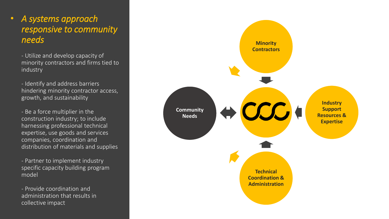### • *A systems approach responsive to community needs*

- Utilize and develop capacity of minority contractors and firms tied to industry

- Identify and address barriers hindering minority contractor access, growth, and sustainability

- Be a force multiplier in the construction industry; to include harnessing professional technical expertise, use goods and services companies, coordination and distribution of materials and supplies

- Partner to implement industry specific capacity building program model

- Provide coordination and administration that results in collective impact

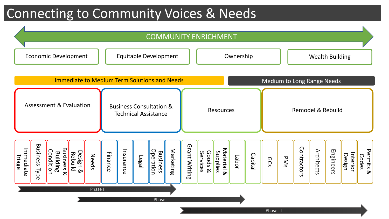## Connecting to Community Voices & Needs

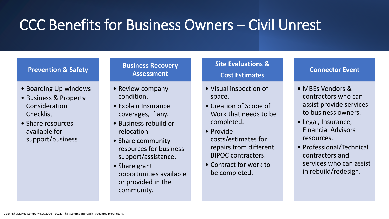# CCC Benefits for Business Owners – Civil Unrest

#### **Prevention & Safety**

- Boarding Up windows
- Business & Property Consideration **Checklist**
- Share resources available for support/business

#### **Business Recovery Assessment**

- Review company condition.
- Explain Insurance coverages, if any.
- Business rebuild or relocation
- Share community resources for business support/assistance.
- Share grant opportunities available or provided in the community.

#### **Site Evaluations & Cost Estimates**

- Visual inspection of space.
- Creation of Scope of Work that needs to be completed.
- Provide costs/estimates for repairs from different BIPOC contractors.
- Contract for work to be completed.

#### **Connector Event**

- MBEs Vendors & contractors who can assist provide services to business owners.
- Legal, Insurance, Financial Advisors resources.
- Professional/Technical contractors and services who can assist in rebuild/redesign.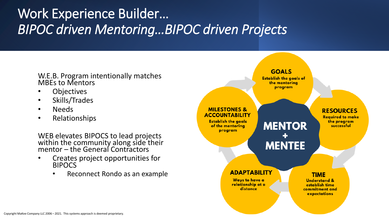## Work Experience Builder… *BIPOC driven Mentoring…BIPOC driven Projects*

W.E.B. Program intentionally matches MBEs to Mentors

- Objectives
- Skills/Trades
- Needs
- Relationships

WEB elevates BIPOCS to lead projects within the community along side their mentor – the General Contractors

- Creates project opportunities for BIPOCS
	- Reconnect Rondo as an example

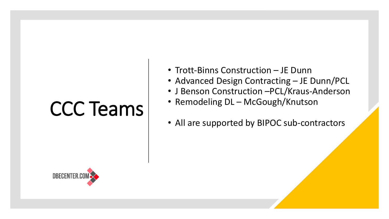# CCC Teams

- Trott-Binns Construction JE Dunn
- Advanced Design Contracting JE Dunn/PCL
- J Benson Construction –PCL/Kraus-Anderson
- Remodeling DL McGough/Knutson
- All are supported by BIPOC sub-contractors